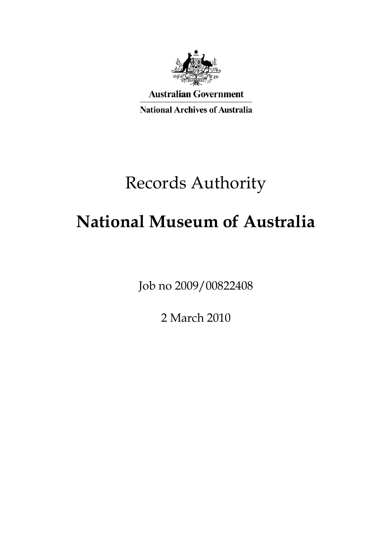

**Australian Government National Archives of Australia** 

# Records Authority

# **National Museum of Australia**

Job no 2009/00822408

2 March 2010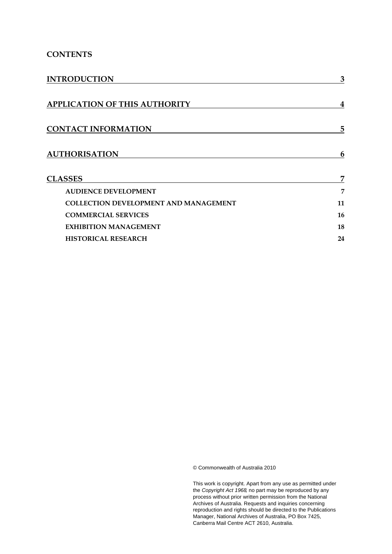### **CONTENTS**

| <b>INTRODUCTION</b>                          | 3              |  |
|----------------------------------------------|----------------|--|
| APPLICATION OF THIS AUTHORITY                | 4              |  |
| <b>CONTACT INFORMATION</b>                   | 5              |  |
| <b>AUTHORISATION</b>                         | 6              |  |
| <b>CLASSES</b>                               | $\overline{7}$ |  |
| <b>AUDIENCE DEVELOPMENT</b>                  | 7              |  |
| <b>COLLECTION DEVELOPMENT AND MANAGEMENT</b> | 11             |  |
| <b>COMMERCIAL SERVICES</b>                   | 16             |  |
| <b>EXHIBITION MANAGEMENT</b>                 | 18             |  |
| <b>HISTORICAL RESEARCH</b>                   | 24             |  |

© Commonwealth of Australia 2010

This work is copyright. Apart from any use as permitted under the *Copyright Act 1968,* no part may be reproduced by any process without prior written permission from the National Archives of Australia. Requests and inquiries concerning reproduction and rights should be directed to the Publications Manager, National Archives of Australia, PO Box 7425, Canberra Mail Centre ACT 2610, Australia.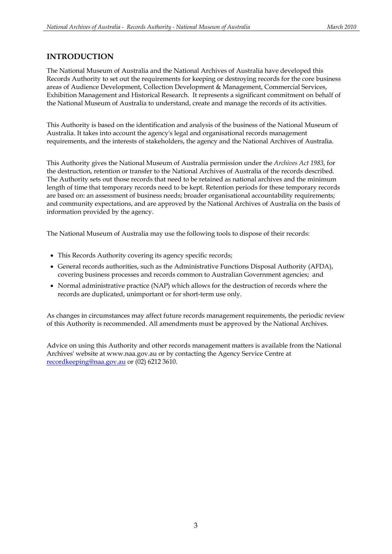### **INTRODUCTION**

The National Museum of Australia and the National Archives of Australia have developed this Records Authority to set out the requirements for keeping or destroying records for the core business areas of Audience Development, Collection Development & Management, Commercial Services, Exhibition Management and Historical Research. It represents a significant commitment on behalf of the National Museum of Australia to understand, create and manage the records of its activities.

This Authority is based on the identification and analysis of the business of the National Museum of Australia. It takes into account the agency's legal and organisational records management requirements, and the interests of stakeholders, the agency and the National Archives of Australia.

This Authority gives the National Museum of Australia permission under the *Archives Act 1983*, for the destruction, retention or transfer to the National Archives of Australia of the records described. The Authority sets out those records that need to be retained as national archives and the minimum length of time that temporary records need to be kept. Retention periods for these temporary records are based on: an assessment of business needs; broader organisational accountability requirements; and community expectations, and are approved by the National Archives of Australia on the basis of information provided by the agency.

The National Museum of Australia may use the following tools to dispose of their records:

- This Records Authority covering its agency specific records;
- General records authorities, such as the Administrative Functions Disposal Authority (AFDA), covering business processes and records common to Australian Government agencies; and
- Normal administrative practice (NAP) which allows for the destruction of records where the records are duplicated, unimportant or for short-term use only.

As changes in circumstances may affect future records management requirements, the periodic review of this Authority is recommended. All amendments must be approved by the National Archives.

Advice on using this Authority and other records management matters is available from the National Archives' website at www.naa.gov.au or by contacting the Agency Service Centre at recordkeeping@naa.gov.au or (02) 6212 3610.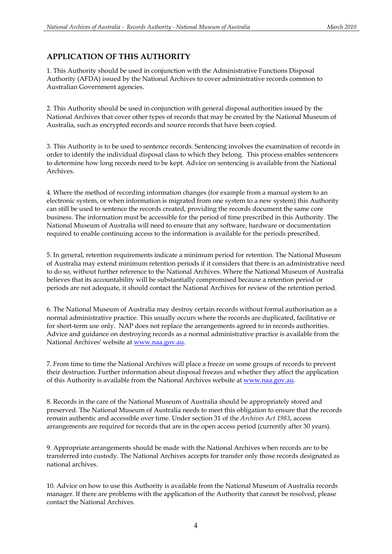### **APPLICATION OF THIS AUTHORITY**

1. This Authority should be used in conjunction with the Administrative Functions Disposal Authority (AFDA) issued by the National Archives to cover administrative records common to Australian Government agencies.

2. This Authority should be used in conjunction with general disposal authorities issued by the National Archives that cover other types of records that may be created by the National Museum of Australia, such as encrypted records and source records that have been copied.

3. This Authority is to be used to sentence records. Sentencing involves the examination of records in order to identify the individual disposal class to which they belong. This process enables sentencers to determine how long records need to be kept. Advice on sentencing is available from the National Archives.

4. Where the method of recording information changes (for example from a manual system to an electronic system, or when information is migrated from one system to a new system) this Authority can still be used to sentence the records created, providing the records document the same core business. The information must be accessible for the period of time prescribed in this Authority. The National Museum of Australia will need to ensure that any software, hardware or documentation required to enable continuing access to the information is available for the periods prescribed.

5. In general, retention requirements indicate a minimum period for retention. The National Museum of Australia may extend minimum retention periods if it considers that there is an administrative need to do so, without further reference to the National Archives. Where the National Museum of Australia believes that its accountability will be substantially compromised because a retention period or periods are not adequate, it should contact the National Archives for review of the retention period.

6. The National Museum of Australia may destroy certain records without formal authorisation as a normal administrative practice. This usually occurs where the records are duplicated, facilitative or for short-term use only. NAP does not replace the arrangements agreed to in records authorities. Advice and guidance on destroying records as a normal administrative practice is available from the National Archives' website at www.naa.gov.au.

7. From time to time the National Archives will place a freeze on some groups of records to prevent their destruction. Further information about disposal freezes and whether they affect the application of this Authority is available from the National Archives website at www.naa.gov.au.

8. Records in the care of the National Museum of Australia should be appropriately stored and preserved. The National Museum of Australia needs to meet this obligation to ensure that the records remain authentic and accessible over time. Under section 31 of the *Archives Act 1983*, access arrangements are required for records that are in the open access period (currently after 30 years).

9. Appropriate arrangements should be made with the National Archives when records are to be transferred into custody. The National Archives accepts for transfer only those records designated as national archives.

10. Advice on how to use this Authority is available from the National Museum of Australia records manager. If there are problems with the application of the Authority that cannot be resolved, please contact the National Archives.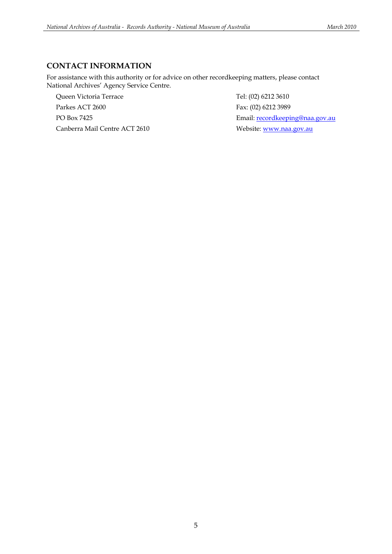### **CONTACT INFORMATION**

For assistance with this authority or for advice on other recordkeeping matters, please contact National Archives' Agency Service Centre.

Queen Victoria Terrace Tel: (02) 6212 3610 Parkes ACT 2600 Fax: (02) 6212 3989 Canberra Mail Centre ACT 2610 Website: www.naa.gov.au

PO Box 7425 Email: recordkeeping@naa.gov.au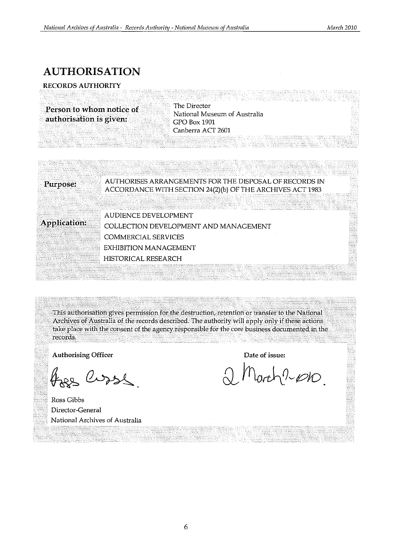## **AUTHORISATION**

### **RECORDS AUTHORITY**

**Person to** whom notice **of authorisation is given:**  The Director National Museum of Australia GPO Box 1901 Canberra ACT 2601

> AUTHORISES ARRANGEMENTS FOR THE DISPOSAL OF RECORDS IN ACCORDANCE WITH SECTION 24(2)(b) OF THE ARCHIVES ACT 1983

**Application:** 

**Purpose:** 

AUDIENCE DEVELOPMENT COLLECTION DEVELOPMENT AND MANAGEMENT COMMERCIAL SERVICES EXHIBITION MANAGEMENT HISTORICAL RESEARCH EXAMPLED MILITION COMMENT

. ~ .. """, . <Thili;~uthoriSitiongiyes·permi\$SiOn¥ortheaestruction, retention or· transfer. to the National Archives of Australia of the records described. The authority will apply only if these actions take place with the consent of the agency responsible for the core business documented in the records. .

. ".,'., ,',. ,,--'. ' .

Authorising Officer

free Curse

Ross Gibbs Director-General National Archives of Australia

**Date of issue:** 

 $lorth$ 2010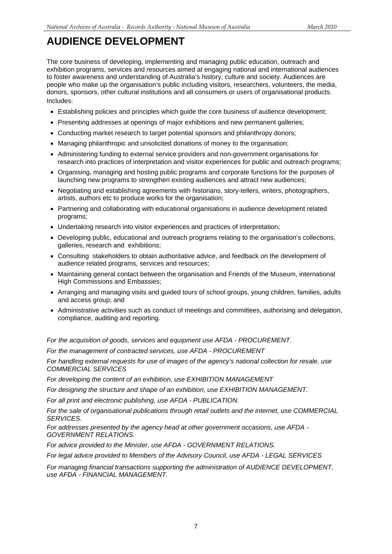The core business of developing, implementing and managing public education, outreach and exhibition programs, services and resources aimed at engaging national and international audiences to foster awareness and understanding of Australia's history, culture and society. Audiences are people who make up the organisation's public including visitors, researchers, volunteers, the media, donors, sponsors, other cultural institutions and all consumers or users of organisational products. Includes:

- Establishing policies and principles which guide the core business of audience development;
- Presenting addresses at openings of major exhibitions and new permanent galleries;
- Conducting market research to target potential sponsors and philanthropy donors;
- Managing philanthropic and unsolicited donations of money to the organisation;
- Administering funding to external service providers and non-government organisations for research into practices of interpretation and visitor experiences for public and outreach programs;
- Organising, managing and hosting public programs and corporate functions for the purposes of launching new programs to strengthen existing audiences and attract new audiences;
- Negotiating and establishing agreements with historians, story-tellers, writers, photographers, artists, authors etc to produce works for the organisation;
- Partnering and collaborating with educational organisations in audience development related programs;
- Undertaking research into visitor experiences and practices of interpretation;
- Developing public, educational and outreach programs relating to the organisation's collections, galleries, research and exhibitions;
- Consulting stakeholders to obtain authoritative advice, and feedback on the development of audience related programs, services and resources;
- Maintaining general contact between the organisation and Friends of the Museum, international High Commissions and Embassies;
- Arranging and managing visits and guided tours of school groups, young children, families, adults and access group; and
- Administrative activities such as conduct of meetings and committees, authorising and delegation, compliance, auditing and reporting.

*For the acquisition of goods, services and equipment use AFDA - PROCUREMENT.* 

*For the management of contracted services, use AFDA - PROCUREMENT* 

*For handling external requests for use of images of the agency's national collection for resale, use COMMERCIAL SERVICES* 

*For developing the content of an exhibition, use EXHIBITION MANAGEMENT* 

*For designing the structure and shape of an exhibition, use EXHIBITION MANAGEMENT.* 

*For all print and electronic publishing, use AFDA - PUBLICATION.* 

*For the sale of organisational publications through retail outlets and the internet, use COMMERCIAL SERVICES.* 

*For addresses presented by the agency head at other government occasions, use AFDA - GOVERNMENT RELATIONS.* 

*For advice provided to the Minister, use AFDA - GOVERNMENT RELATIONS.* 

*For legal advice provided to Members of the Advisory Council, use AFDA - LEGAL SERVICES* 

*For managing financial transactions supporting the administration of AUDIENCE DEVELOPMENT, use AFDA - FINANCIAL MANAGEMENT.*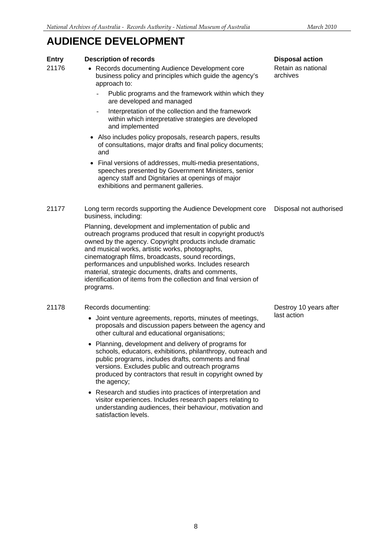### **Entry Description of records Disposal action**

Retain as national archives

- 21176 Records documenting Audience Development core business policy and principles which guide the agency's approach to:
	- Public programs and the framework within which they are developed and managed
	- Interpretation of the collection and the framework within which interpretative strategies are developed and implemented
	- Also includes policy proposals, research papers, results of consultations, major drafts and final policy documents; and
	- Final versions of addresses, multi-media presentations, speeches presented by Government Ministers, senior agency staff and Dignitaries at openings of major exhibitions and permanent galleries.
- 21177 Long term records supporting the Audience Development core business, including: Disposal not authorised

Planning, development and implementation of public and outreach programs produced that result in copyright product/s owned by the agency. Copyright products include dramatic and musical works, artistic works, photographs, cinematograph films, broadcasts, sound recordings, performances and unpublished works. Includes research material, strategic documents, drafts and comments, identification of items from the collection and final version of programs.

### 21178 Records documenting:

- Joint venture agreements, reports, minutes of meetings, proposals and discussion papers between the agency and other cultural and educational organisations;
- Planning, development and delivery of programs for schools, educators, exhibitions, philanthropy, outreach and public programs, includes drafts, comments and final versions. Excludes public and outreach programs produced by contractors that result in copyright owned by the agency;
- Research and studies into practices of interpretation and visitor experiences. Includes research papers relating to understanding audiences, their behaviour, motivation and satisfaction levels.

Destroy 10 years after last action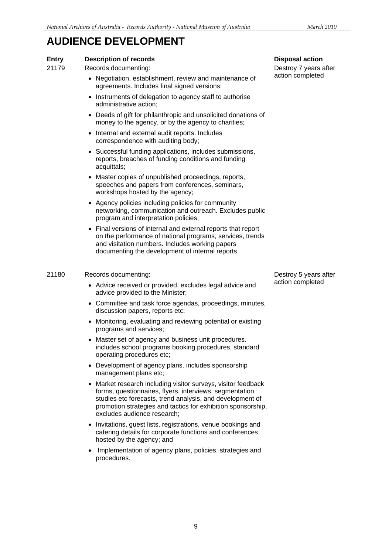### **Entry Description of records Disposal action**

21179 Records documenting:

- Negotiation, establishment, review and maintenance of agreements. Includes final signed versions;
- Instruments of delegation to agency staff to authorise administrative action;
- Deeds of gift for philanthropic and unsolicited donations of money to the agency, or by the agency to charities;
- Internal and external audit reports. Includes correspondence with auditing body;
- Successful funding applications, includes submissions, reports, breaches of funding conditions and funding acquittals;
- Master copies of unpublished proceedings, reports, speeches and papers from conferences, seminars, workshops hosted by the agency;
- Agency policies including policies for community networking, communication and outreach. Excludes public program and interpretation policies;
- Final versions of internal and external reports that report on the performance of national programs, services, trends and visitation numbers. Includes working papers documenting the development of internal reports.

#### 21180 Records documenting:

- Advice received or provided, excludes legal advice and advice provided to the Minister;
- Committee and task force agendas, proceedings, minutes, discussion papers, reports etc;
- Monitoring, evaluating and reviewing potential or existing programs and services;
- Master set of agency and business unit procedures. includes school programs booking procedures, standard operating procedures etc;
- Development of agency plans. includes sponsorship management plans etc;
- Market research including visitor surveys, visitor feedback forms, questionnaires, flyers, interviews, segmentation studies etc forecasts, trend analysis, and development of promotion strategies and tactics for exhibition sponsorship, excludes audience research;
- Invitations, guest lists, registrations, venue bookings and catering details for corporate functions and conferences hosted by the agency; and
- Implementation of agency plans, policies, strategies and procedures.

Destroy 7 years after action completed

Destroy 5 years after action completed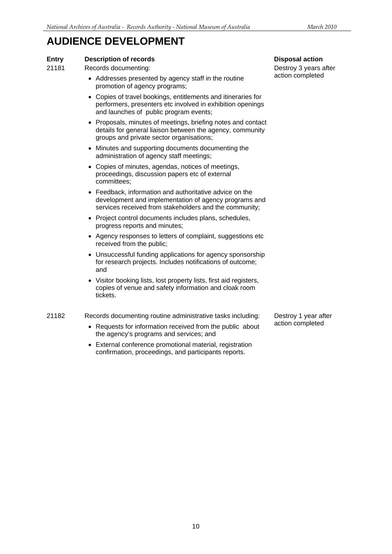### **Entry Description of records Disposal action**

21181 Records documenting:

- Addresses presented by agency staff in the routine promotion of agency programs;
- Copies of travel bookings, entitlements and itineraries for performers, presenters etc involved in exhibition openings and launches of public program events;
- Proposals, minutes of meetings, briefing notes and contact details for general liaison between the agency, community groups and private sector organisations;
- Minutes and supporting documents documenting the administration of agency staff meetings;
- Copies of minutes, agendas, notices of meetings, proceedings, discussion papers etc of external committees;
- Feedback, information and authoritative advice on the development and implementation of agency programs and services received from stakeholders and the community;
- Project control documents includes plans, schedules, progress reports and minutes;
- Agency responses to letters of complaint, suggestions etc received from the public;
- Unsuccessful funding applications for agency sponsorship for research projects. Includes notifications of outcome; and
- Visitor booking lists, lost property lists, first aid registers, copies of venue and safety information and cloak room tickets.

21182 Records documenting routine administrative tasks including:

- Requests for information received from the public about the agency's programs and services; and
- External conference promotional material, registration confirmation, proceedings, and participants reports.

Destroy 3 years after action completed

Destroy 1 year after action completed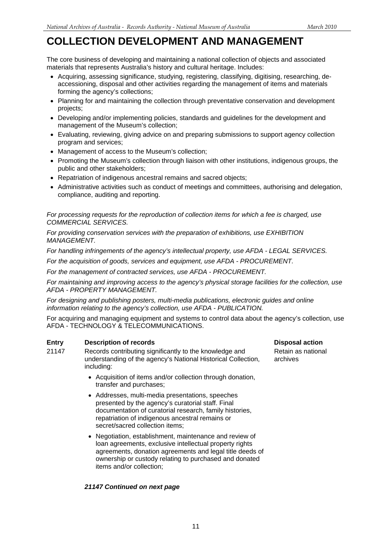The core business of developing and maintaining a national collection of objects and associated materials that represents Australia's history and cultural heritage. Includes:

- Acquiring, assessing significance, studying, registering, classifying, digitising, researching, deaccessioning, disposal and other activities regarding the management of items and materials forming the agency's collections;
- Planning for and maintaining the collection through preventative conservation and development projects;
- Developing and/or implementing policies, standards and guidelines for the development and management of the Museum's collection;
- Evaluating, reviewing, giving advice on and preparing submissions to support agency collection program and services;
- Management of access to the Museum's collection;
- Promoting the Museum's collection through liaison with other institutions, indigenous groups, the public and other stakeholders;
- Repatriation of indigenous ancestral remains and sacred objects;
- Administrative activities such as conduct of meetings and committees, authorising and delegation, compliance, auditing and reporting.

*For processing requests for the reproduction of collection items for which a fee is charged, use COMMERCIAL SERVICES.* 

*For providing conservation services with the preparation of exhibitions, use EXHIBITION MANAGEMENT.* 

*For handling infringements of the agency's intellectual property, use AFDA - LEGAL SERVICES.* 

*For the acquisition of goods, services and equipment, use AFDA - PROCUREMENT.* 

*For the management of contracted services, use AFDA - PROCUREMENT.* 

*For maintaining and improving access to the agency's physical storage facilities for the collection, use AFDA - PROPERTY MANAGEMENT.* 

*For designing and publishing posters, multi-media publications, electronic guides and online information relating to the agency's collection, use AFDA - PUBLICATION.* 

For acquiring and managing equipment and systems to control data about the agency's collection, use AFDA - TECHNOLOGY & TELECOMMUNICATIONS.

### **Entry** Description of records Disposal action **Disposal action**

- 21147 Records contributing significantly to the knowledge and understanding of the agency's National Historical Collection, including:
	- Acquisition of items and/or collection through donation, transfer and purchases;
	- Addresses, multi-media presentations, speeches presented by the agency's curatorial staff. Final documentation of curatorial research, family histories, repatriation of indigenous ancestral remains or secret/sacred collection items;
	- Negotiation, establishment, maintenance and review of loan agreements, exclusive intellectual property rights agreements, donation agreements and legal title deeds of ownership or custody relating to purchased and donated items and/or collection;

### *21147 Continued on next page*

Retain as national archives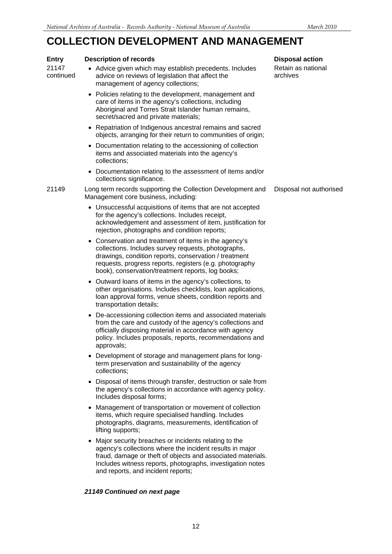| <b>Entry</b>       | <b>Description of records</b>                                                                                                                                                                                                                                                         | <b>Disposal action</b>         |
|--------------------|---------------------------------------------------------------------------------------------------------------------------------------------------------------------------------------------------------------------------------------------------------------------------------------|--------------------------------|
| 21147<br>continued | • Advice given which may establish precedents. Includes<br>advice on reviews of legislation that affect the<br>management of agency collections;                                                                                                                                      | Retain as national<br>archives |
|                    | • Policies relating to the development, management and<br>care of items in the agency's collections, including<br>Aboriginal and Torres Strait Islander human remains,<br>secret/sacred and private materials;                                                                        |                                |
|                    | • Repatriation of Indigenous ancestral remains and sacred<br>objects, arranging for their return to communities of origin;                                                                                                                                                            |                                |
|                    | Documentation relating to the accessioning of collection<br>items and associated materials into the agency's<br>collections;                                                                                                                                                          |                                |
|                    | • Documentation relating to the assessment of items and/or<br>collections significance.                                                                                                                                                                                               |                                |
| 21149              | Long term records supporting the Collection Development and<br>Management core business, including:                                                                                                                                                                                   | Disposal not authorised        |
|                    | • Unsuccessful acquisitions of items that are not accepted<br>for the agency's collections. Includes receipt,<br>acknowledgement and assessment of item, justification for<br>rejection, photographs and condition reports;                                                           |                                |
|                    | Conservation and treatment of items in the agency's<br>collections. Includes survey requests, photographs,<br>drawings, condition reports, conservation / treatment<br>requests, progress reports, registers (e.g. photography<br>book), conservation/treatment reports, log books;   |                                |
|                    | • Outward loans of items in the agency's collections, to<br>other organisations. Includes checklists, loan applications,<br>loan approval forms, venue sheets, condition reports and<br>transportation details;                                                                       |                                |
|                    | • De-accessioning collection items and associated materials<br>from the care and custody of the agency's collections and<br>officially disposing material in accordance with agency<br>policy. Includes proposals, reports, recommendations and<br>approvals;                         |                                |
|                    | • Development of storage and management plans for long-<br>term preservation and sustainability of the agency<br>collections;                                                                                                                                                         |                                |
|                    | • Disposal of items through transfer, destruction or sale from<br>the agency's collections in accordance with agency policy.<br>Includes disposal forms;                                                                                                                              |                                |
|                    | Management of transportation or movement of collection<br>items, which require specialised handling. Includes<br>photographs, diagrams, measurements, identification of<br>lifting supports;                                                                                          |                                |
|                    | • Major security breaches or incidents relating to the<br>agency's collections where the incident results in major<br>fraud, damage or theft of objects and associated materials.<br>Includes witness reports, photographs, investigation notes<br>and reports, and incident reports; |                                |
|                    | 21149 Continued on next page                                                                                                                                                                                                                                                          |                                |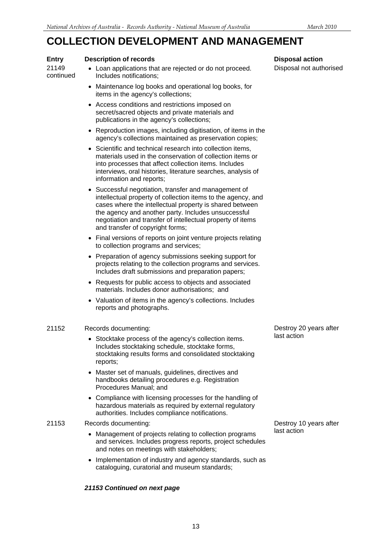#### **Entry Description of records Disposal action**

21149 continued

- Loan applications that are rejected or do not proceed. Includes notifications;
- Maintenance log books and operational log books, for items in the agency's collections;
- Access conditions and restrictions imposed on secret/sacred objects and private materials and publications in the agency's collections;
- Reproduction images, including digitisation, of items in the agency's collections maintained as preservation copies;
- Scientific and technical research into collection items, materials used in the conservation of collection items or into processes that affect collection items. Includes interviews, oral histories, literature searches, analysis of information and reports;
- Successful negotiation, transfer and management of intellectual property of collection items to the agency, and cases where the intellectual property is shared between the agency and another party. Includes unsuccessful negotiation and transfer of intellectual property of items and transfer of copyright forms;
- Final versions of reports on joint venture projects relating to collection programs and services;
- Preparation of agency submissions seeking support for projects relating to the collection programs and services. Includes draft submissions and preparation papers;
- Requests for public access to objects and associated materials. Includes donor authorisations; and
- Valuation of items in the agency's collections. Includes reports and photographs.

#### 21152 Records documenting:

- Stocktake process of the agency's collection items. Includes stocktaking schedule, stocktake forms, stocktaking results forms and consolidated stocktaking reports;
- Master set of manuals, guidelines, directives and handbooks detailing procedures e.g. Registration Procedures Manual; and
- Compliance with licensing processes for the handling of hazardous materials as required by external regulatory authorities. Includes compliance notifications.

#### 21153 Records documenting:

- Management of projects relating to collection programs and services. Includes progress reports, project schedules and notes on meetings with stakeholders;
- Implementation of industry and agency standards, such as cataloguing, curatorial and museum standards;

#### *21153 Continued on next page*

Disposal not authorised

last action

Destroy 20 years after

Destroy 10 years after last action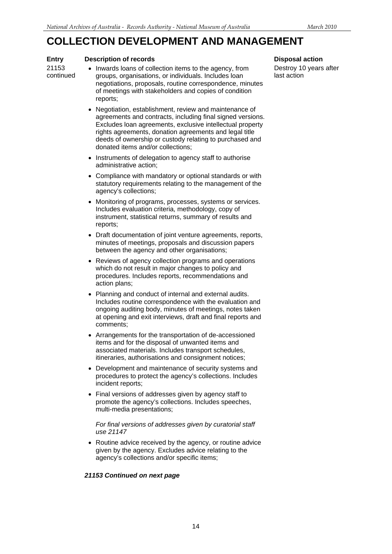#### **Entry Description of records Disposal action**

21153 continued

- Inwards loans of collection items to the agency, from groups, organisations, or individuals. Includes loan negotiations, proposals, routine correspondence, minutes of meetings with stakeholders and copies of condition reports;
- Negotiation, establishment, review and maintenance of agreements and contracts, including final signed versions. Excludes loan agreements, exclusive intellectual property rights agreements, donation agreements and legal title deeds of ownership or custody relating to purchased and donated items and/or collections;
- Instruments of delegation to agency staff to authorise administrative action;
- Compliance with mandatory or optional standards or with statutory requirements relating to the management of the agency's collections;
- Monitoring of programs, processes, systems or services. Includes evaluation criteria, methodology, copy of instrument, statistical returns, summary of results and reports;
- Draft documentation of joint venture agreements, reports, minutes of meetings, proposals and discussion papers between the agency and other organisations;
- Reviews of agency collection programs and operations which do not result in major changes to policy and procedures. Includes reports, recommendations and action plans;
- Planning and conduct of internal and external audits. Includes routine correspondence with the evaluation and ongoing auditing body, minutes of meetings, notes taken at opening and exit interviews, draft and final reports and comments;
- Arrangements for the transportation of de-accessioned items and for the disposal of unwanted items and associated materials. Includes transport schedules, itineraries, authorisations and consignment notices;
- Development and maintenance of security systems and procedures to protect the agency's collections. Includes incident reports;
- Final versions of addresses given by agency staff to promote the agency's collections. Includes speeches, multi-media presentations;

#### *For final versions of addresses given by curatorial staff use 21147*

• Routine advice received by the agency, or routine advice given by the agency. Excludes advice relating to the agency's collections and/or specific items;

### *21153 Continued on next page*

Destroy 10 years after last action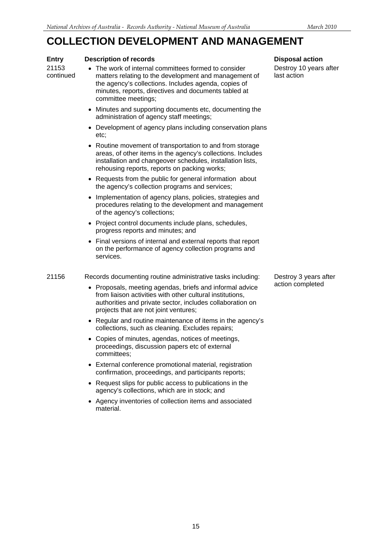#### **Entry Description of records Disposal action**

21153 continued

- The work of internal committees formed to consider matters relating to the development and management of the agency's collections. Includes agenda, copies of minutes, reports, directives and documents tabled at committee meetings;
- Minutes and supporting documents etc, documenting the administration of agency staff meetings;
- Development of agency plans including conservation plans etc;
- Routine movement of transportation to and from storage areas, of other items in the agency's collections. Includes installation and changeover schedules, installation lists, rehousing reports, reports on packing works;
- Requests from the public for general information about the agency's collection programs and services;
- Implementation of agency plans, policies, strategies and procedures relating to the development and management of the agency's collections;
- Project control documents include plans, schedules, progress reports and minutes; and
- Final versions of internal and external reports that report on the performance of agency collection programs and services.

21156 Records documenting routine administrative tasks including:

- Proposals, meeting agendas, briefs and informal advice from liaison activities with other cultural institutions, authorities and private sector, includes collaboration on projects that are not joint ventures;
- Regular and routine maintenance of items in the agency's collections, such as cleaning. Excludes repairs;
- Copies of minutes, agendas, notices of meetings, proceedings, discussion papers etc of external committees;
- External conference promotional material, registration confirmation, proceedings, and participants reports;
- Request slips for public access to publications in the agency's collections, which are in stock; and
- Agency inventories of collection items and associated material.

Destroy 10 years after last action

Destroy 3 years after action completed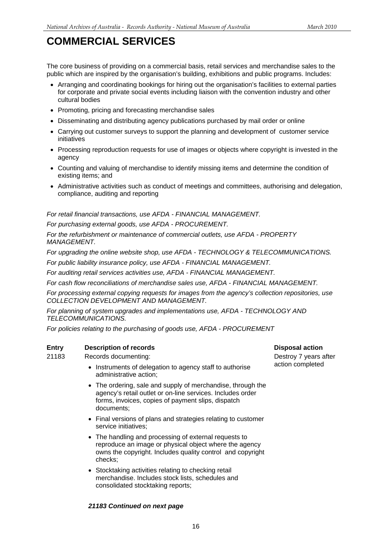## **COMMERCIAL SERVICES**

The core business of providing on a commercial basis, retail services and merchandise sales to the public which are inspired by the organisation's building, exhibitions and public programs. Includes:

- Arranging and coordinating bookings for hiring out the organisation's facilities to external parties for corporate and private social events including liaison with the convention industry and other cultural bodies
- Promoting, pricing and forecasting merchandise sales
- Disseminating and distributing agency publications purchased by mail order or online
- Carrying out customer surveys to support the planning and development of customer service initiatives
- Processing reproduction requests for use of images or objects where copyright is invested in the agency
- Counting and valuing of merchandise to identify missing items and determine the condition of existing items; and
- Administrative activities such as conduct of meetings and committees, authorising and delegation, compliance, auditing and reporting

*For retail financial transactions, use AFDA - FINANCIAL MANAGEMENT.* 

*For purchasing external goods, use AFDA - PROCUREMENT.* 

*For the refurbishment or maintenance of commercial outlets, use AFDA - PROPERTY MANAGEMENT.* 

*For upgrading the online website shop, use AFDA - TECHNOLOGY & TELECOMMUNICATIONS.* 

*For public liability insurance policy, use AFDA - FINANCIAL MANAGEMENT.* 

*For auditing retail services activities use, AFDA - FINANCIAL MANAGEMENT.* 

*For cash flow reconciliations of merchandise sales use, AFDA - FINANCIAL MANAGEMENT.* 

*For processing external copying requests for images from the agency's collection repositories, use COLLECTION DEVELOPMENT AND MANAGEMENT.* 

*For planning of system upgrades and implementations use, AFDA - TECHNOLOGY AND TELECOMMUNICATIONS.* 

*For policies relating to the purchasing of goods use, AFDA - PROCUREMENT* 

### **Entry Description of records Disposal action Action Control Control Control Control Control Control Control Control Control Control Control Control Control Control Control Control Control Control Control Control Control C**

21183 Records documenting:

- Instruments of delegation to agency staff to authorise administrative action;
- The ordering, sale and supply of merchandise, through the agency's retail outlet or on-line services. Includes order forms, invoices, copies of payment slips, dispatch documents;
- Final versions of plans and strategies relating to customer service initiatives;
- The handling and processing of external requests to reproduce an image or physical object where the agency owns the copyright. Includes quality control and copyright checks;
- Stocktaking activities relating to checking retail merchandise. Includes stock lists, schedules and consolidated stocktaking reports;

#### *21183 Continued on next page*

Destroy 7 years after action completed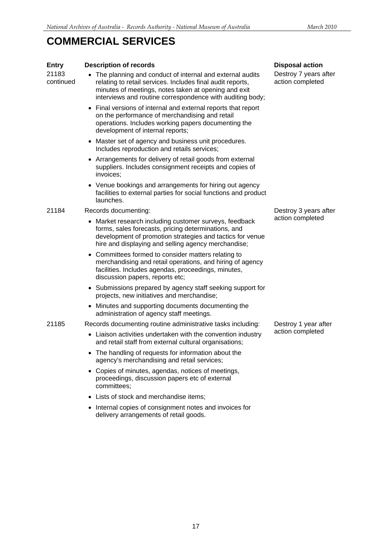## **COMMERCIAL SERVICES**

| <b>Entry</b>       | <b>Description of records</b>                                                                                                                                                                                                               | <b>Disposal action</b>                    |
|--------------------|---------------------------------------------------------------------------------------------------------------------------------------------------------------------------------------------------------------------------------------------|-------------------------------------------|
| 21183<br>continued | The planning and conduct of internal and external audits<br>relating to retail services. Includes final audit reports,<br>minutes of meetings, notes taken at opening and exit<br>interviews and routine correspondence with auditing body; | Destroy 7 years after<br>action completed |
|                    | • Final versions of internal and external reports that report<br>on the performance of merchandising and retail<br>operations. Includes working papers documenting the<br>development of internal reports;                                  |                                           |
|                    | • Master set of agency and business unit procedures.<br>Includes reproduction and retails services;                                                                                                                                         |                                           |
|                    | • Arrangements for delivery of retail goods from external<br>suppliers. Includes consignment receipts and copies of<br>invoices;                                                                                                            |                                           |
|                    | • Venue bookings and arrangements for hiring out agency<br>facilities to external parties for social functions and product<br>launches.                                                                                                     |                                           |
| 21184              | Records documenting:                                                                                                                                                                                                                        | Destroy 3 years after<br>action completed |
|                    | • Market research including customer surveys, feedback<br>forms, sales forecasts, pricing determinations, and<br>development of promotion strategies and tactics for venue<br>hire and displaying and selling agency merchandise;           |                                           |
|                    | • Committees formed to consider matters relating to<br>merchandising and retail operations, and hiring of agency<br>facilities. Includes agendas, proceedings, minutes,<br>discussion papers, reports etc;                                  |                                           |
|                    | • Submissions prepared by agency staff seeking support for<br>projects, new initiatives and merchandise;                                                                                                                                    |                                           |
|                    | • Minutes and supporting documents documenting the<br>administration of agency staff meetings.                                                                                                                                              |                                           |
| 21185              | Records documenting routine administrative tasks including:                                                                                                                                                                                 | Destroy 1 year after                      |
|                    | • Liaison activities undertaken with the convention industry<br>and retail staff from external cultural organisations;                                                                                                                      | action completed                          |
|                    | • The handling of requests for information about the<br>agency's merchandising and retail services;                                                                                                                                         |                                           |
|                    | Copies of minutes, agendas, notices of meetings,<br>proceedings, discussion papers etc of external<br>committees;                                                                                                                           |                                           |
|                    | • Lists of stock and merchandise items;                                                                                                                                                                                                     |                                           |
|                    | • Internal copies of consignment notes and invoices for<br>delivery arrangements of retail goods.                                                                                                                                           |                                           |
|                    |                                                                                                                                                                                                                                             |                                           |

17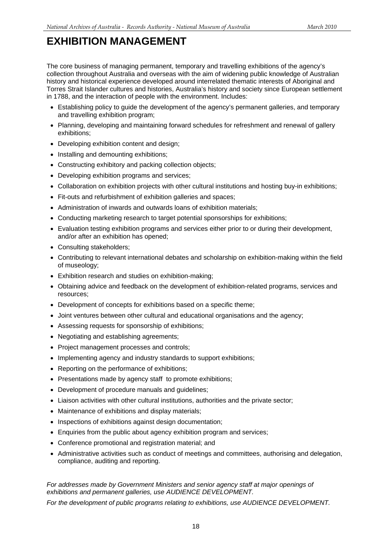The core business of managing permanent, temporary and travelling exhibitions of the agency's collection throughout Australia and overseas with the aim of widening public knowledge of Australian history and historical experience developed around interrelated thematic interests of Aboriginal and Torres Strait Islander cultures and histories, Australia's history and society since European settlement in 1788, and the interaction of people with the environment. Includes:

- Establishing policy to guide the development of the agency's permanent galleries, and temporary and travelling exhibition program;
- Planning, developing and maintaining forward schedules for refreshment and renewal of gallery exhibitions;
- Developing exhibition content and design;
- Installing and demounting exhibitions;
- Constructing exhibitory and packing collection objects;
- Developing exhibition programs and services;
- Collaboration on exhibition projects with other cultural institutions and hosting buy-in exhibitions;
- Fit-outs and refurbishment of exhibition galleries and spaces;
- Administration of inwards and outwards loans of exhibition materials;
- Conducting marketing research to target potential sponsorships for exhibitions;
- Evaluation testing exhibition programs and services either prior to or during their development, and/or after an exhibition has opened;
- Consulting stakeholders;
- Contributing to relevant international debates and scholarship on exhibition-making within the field of museology;
- Exhibition research and studies on exhibition-making;
- Obtaining advice and feedback on the development of exhibition-related programs, services and resources;
- Development of concepts for exhibitions based on a specific theme;
- Joint ventures between other cultural and educational organisations and the agency;
- Assessing requests for sponsorship of exhibitions;
- Negotiating and establishing agreements;
- Project management processes and controls;
- Implementing agency and industry standards to support exhibitions;
- Reporting on the performance of exhibitions;
- Presentations made by agency staff to promote exhibitions;
- Development of procedure manuals and guidelines;
- Liaison activities with other cultural institutions, authorities and the private sector;
- Maintenance of exhibitions and display materials;
- Inspections of exhibitions against design documentation;
- Enquiries from the public about agency exhibition program and services;
- Conference promotional and registration material; and
- Administrative activities such as conduct of meetings and committees, authorising and delegation, compliance, auditing and reporting.

#### *For addresses made by Government Ministers and senior agency staff at major openings of exhibitions and permanent galleries, use AUDIENCE DEVELOPMENT.*

*For the development of public programs relating to exhibitions, use AUDIENCE DEVELOPMENT.*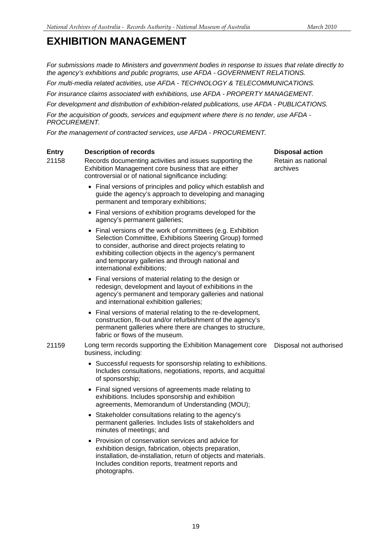*For submissions made to Ministers and government bodies in response to issues that relate directly to the agency's exhibitions and public programs, use AFDA - GOVERNMENT RELATIONS.* 

*For multi-media related activities, use AFDA - TECHNOLOGY & TELECOMMUNICATIONS.* 

*For insurance claims associated with exhibitions, use AFDA - PROPERTY MANAGEMENT.* 

*For development and distribution of exhibition-related publications, use AFDA - PUBLICATIONS.* 

*For the acquisition of goods, services and equipment where there is no tender, use AFDA - PROCUREMENT.* 

*For the management of contracted services, use AFDA - PROCUREMENT.* 

#### **Entry Description of records Disposal action Action Control Control Control Control Control Control Control Control Control Control Control Control Control Control Control Control Control Control Control Control Control C**

21158 Records documenting activities and issues supporting the Exhibition Management core business that are either controversial or of national significance including:

- Final versions of principles and policy which establish and guide the agency's approach to developing and managing permanent and temporary exhibitions;
- Final versions of exhibition programs developed for the agency's permanent galleries;
- Final versions of the work of committees (e.g. Exhibition Selection Committee, Exhibitions Steering Group) formed to consider, authorise and direct projects relating to exhibiting collection objects in the agency's permanent and temporary galleries and through national and international exhibitions;
- Final versions of material relating to the design or redesign, development and layout of exhibitions in the agency's permanent and temporary galleries and national and international exhibition galleries;
- Final versions of material relating to the re-development, construction, fit-out and/or refurbishment of the agency's permanent galleries where there are changes to structure, fabric or flows of the museum.

21159 Long term records supporting the Exhibition Management core business, including: Disposal not authorised

- Successful requests for sponsorship relating to exhibitions. Includes consultations, negotiations, reports, and acquittal of sponsorship;
- Final signed versions of agreements made relating to exhibitions. Includes sponsorship and exhibition agreements, Memorandum of Understanding (MOU);
- Stakeholder consultations relating to the agency's permanent galleries. Includes lists of stakeholders and minutes of meetings; and
- Provision of conservation services and advice for exhibition design, fabrication, objects preparation, installation, de-installation, return of objects and materials. Includes condition reports, treatment reports and photographs.

Retain as national archives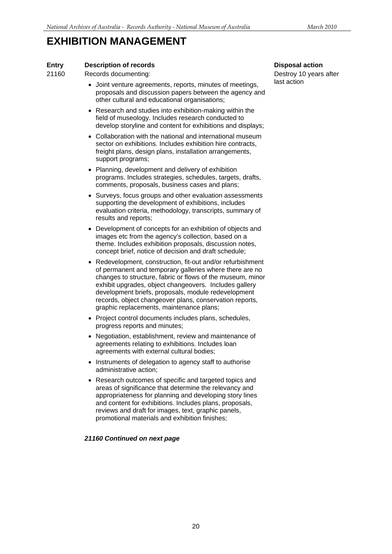### **Entry** Description of records Disposal action **Disposal action**

21160 Records documenting:

- Joint venture agreements, reports, minutes of meetings, proposals and discussion papers between the agency and other cultural and educational organisations;
- Research and studies into exhibition-making within the field of museology. Includes research conducted to develop storyline and content for exhibitions and displays;
- Collaboration with the national and international museum sector on exhibitions. Includes exhibition hire contracts, freight plans, design plans, installation arrangements, support programs;
- Planning, development and delivery of exhibition programs. Includes strategies, schedules, targets, drafts, comments, proposals, business cases and plans;
- Surveys, focus groups and other evaluation assessments supporting the development of exhibitions, includes evaluation criteria, methodology, transcripts, summary of results and reports;
- Development of concepts for an exhibition of objects and images etc from the agency's collection, based on a theme. Includes exhibition proposals, discussion notes, concept brief, notice of decision and draft schedule;
- Redevelopment, construction, fit-out and/or refurbishment of permanent and temporary galleries where there are no changes to structure, fabric or flows of the museum, minor exhibit upgrades, object changeovers. Includes gallery development briefs, proposals, module redevelopment records, object changeover plans, conservation reports, graphic replacements, maintenance plans;
- Project control documents includes plans, schedules, progress reports and minutes;
- Negotiation, establishment, review and maintenance of agreements relating to exhibitions. Includes loan agreements with external cultural bodies;
- Instruments of delegation to agency staff to authorise administrative action;
- Research outcomes of specific and targeted topics and areas of significance that determine the relevancy and appropriateness for planning and developing story lines and content for exhibitions. Includes plans, proposals, reviews and draft for images, text, graphic panels, promotional materials and exhibition finishes;

### *21160 Continued on next page*

Destroy 10 years after last action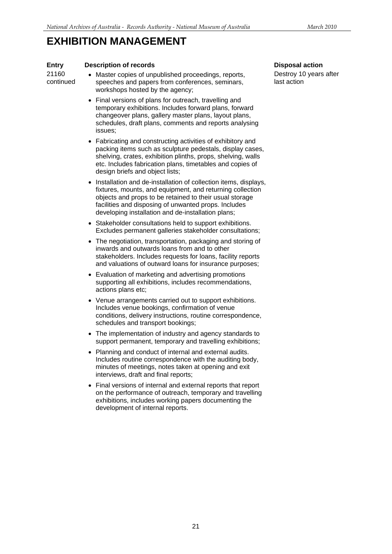### **Entry Description of records Disposal action Disposal action**

21160 continued

- Master copies of unpublished proceedings, reports, speeches and papers from conferences, seminars, workshops hosted by the agency;
	- Final versions of plans for outreach, travelling and temporary exhibitions. Includes forward plans, forward changeover plans, gallery master plans, layout plans, schedules, draft plans, comments and reports analysing issues;
	- Fabricating and constructing activities of exhibitory and packing items such as sculpture pedestals, display cases, shelving, crates, exhibition plinths, props, shelving, walls etc. Includes fabrication plans, timetables and copies of design briefs and object lists:
	- Installation and de-installation of collection items, displays, fixtures, mounts, and equipment, and returning collection objects and props to be retained to their usual storage facilities and disposing of unwanted props. Includes developing installation and de-installation plans;
	- Stakeholder consultations held to support exhibitions. Excludes permanent galleries stakeholder consultations;
	- The negotiation, transportation, packaging and storing of inwards and outwards loans from and to other stakeholders. Includes requests for loans, facility reports and valuations of outward loans for insurance purposes;
	- Evaluation of marketing and advertising promotions supporting all exhibitions, includes recommendations, actions plans etc;
	- Venue arrangements carried out to support exhibitions. Includes venue bookings, confirmation of venue conditions, delivery instructions, routine correspondence, schedules and transport bookings;
	- The implementation of industry and agency standards to support permanent, temporary and travelling exhibitions;
	- Planning and conduct of internal and external audits. Includes routine correspondence with the auditing body, minutes of meetings, notes taken at opening and exit interviews, draft and final reports;
	- Final versions of internal and external reports that report on the performance of outreach, temporary and travelling exhibitions, includes working papers documenting the development of internal reports.

Destroy 10 years after last action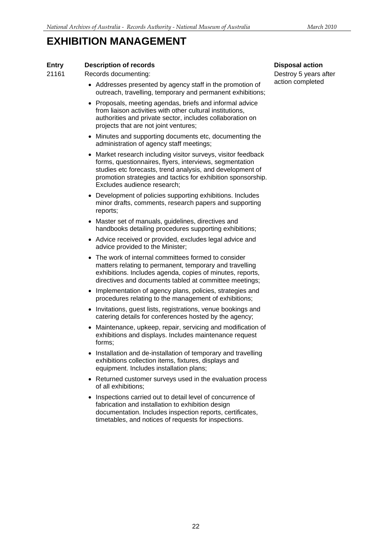### **Entry Description of records Disposal action Disposal action**

21161 Records documenting:

- Addresses presented by agency staff in the promotion of outreach, travelling, temporary and permanent exhibitions;
- Proposals, meeting agendas, briefs and informal advice from liaison activities with other cultural institutions, authorities and private sector, includes collaboration on projects that are not joint ventures;
- Minutes and supporting documents etc, documenting the administration of agency staff meetings;
- Market research including visitor surveys, visitor feedback forms, questionnaires, flyers, interviews, segmentation studies etc forecasts, trend analysis, and development of promotion strategies and tactics for exhibition sponsorship. Excludes audience research;
- Development of policies supporting exhibitions. Includes minor drafts, comments, research papers and supporting reports;
- Master set of manuals, guidelines, directives and handbooks detailing procedures supporting exhibitions;
- Advice received or provided, excludes legal advice and advice provided to the Minister;
- The work of internal committees formed to consider matters relating to permanent, temporary and travelling exhibitions. Includes agenda, copies of minutes, reports, directives and documents tabled at committee meetings;
- Implementation of agency plans, policies, strategies and procedures relating to the management of exhibitions;
- Invitations, guest lists, registrations, venue bookings and catering details for conferences hosted by the agency;
- Maintenance, upkeep, repair, servicing and modification of exhibitions and displays. Includes maintenance request forms;
- Installation and de-installation of temporary and travelling exhibitions collection items, fixtures, displays and equipment. Includes installation plans;
- Returned customer surveys used in the evaluation process of all exhibitions;
- Inspections carried out to detail level of concurrence of fabrication and installation to exhibition design documentation. Includes inspection reports, certificates, timetables, and notices of requests for inspections.

Destroy 5 years after action completed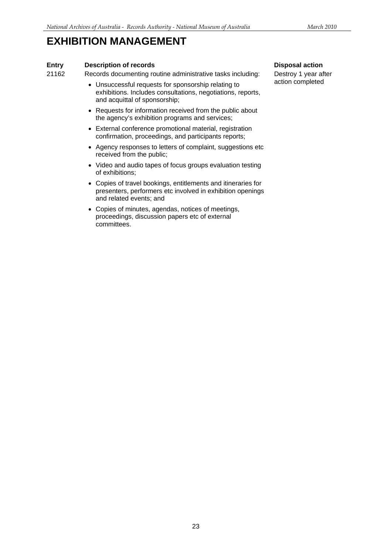### **Entry** Description of records Disposal action **Disposal action**

## 21162 Records documenting routine administrative tasks including:

- Unsuccessful requests for sponsorship relating to exhibitions. Includes consultations, negotiations, reports, and acquittal of sponsorship;
- Requests for information received from the public about the agency's exhibition programs and services;
- External conference promotional material, registration confirmation, proceedings, and participants reports;
- Agency responses to letters of complaint, suggestions etc received from the public;
- Video and audio tapes of focus groups evaluation testing of exhibitions;
- Copies of travel bookings, entitlements and itineraries for presenters, performers etc involved in exhibition openings and related events; and
- Copies of minutes, agendas, notices of meetings, proceedings, discussion papers etc of external committees.

Destroy 1 year after action completed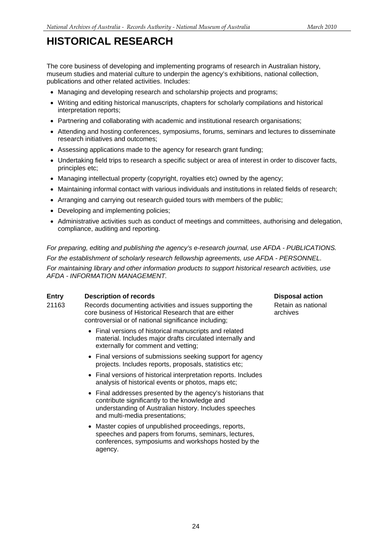## **HISTORICAL RESEARCH**

The core business of developing and implementing programs of research in Australian history, museum studies and material culture to underpin the agency's exhibitions, national collection, publications and other related activities. Includes:

- Managing and developing research and scholarship projects and programs:
- Writing and editing historical manuscripts, chapters for scholarly compilations and historical interpretation reports;
- Partnering and collaborating with academic and institutional research organisations;
- Attending and hosting conferences, symposiums, forums, seminars and lectures to disseminate research initiatives and outcomes;
- Assessing applications made to the agency for research grant funding;
- Undertaking field trips to research a specific subject or area of interest in order to discover facts, principles etc;
- Managing intellectual property (copyright, royalties etc) owned by the agency;
- Maintaining informal contact with various individuals and institutions in related fields of research;
- Arranging and carrying out research guided tours with members of the public;
- Developing and implementing policies:
- Administrative activities such as conduct of meetings and committees, authorising and delegation, compliance, auditing and reporting.

*For preparing, editing and publishing the agency's e-research journal, use AFDA - PUBLICATIONS. For the establishment of scholarly research fellowship agreements, use AFDA - PERSONNEL. For maintaining library and other information products to support historical research activities, use AFDA - INFORMATION MANAGEMENT.* 

### **Entry** Description of records Disposal action **Disposal action**

- 21163 Records documenting activities and issues supporting the core business of Historical Research that are either controversial or of national significance including;
	- Final versions of historical manuscripts and related material. Includes major drafts circulated internally and externally for comment and vetting;
	- Final versions of submissions seeking support for agency projects. Includes reports, proposals, statistics etc;
	- Final versions of historical interpretation reports. Includes analysis of historical events or photos, maps etc;
	- Final addresses presented by the agency's historians that contribute significantly to the knowledge and understanding of Australian history. Includes speeches and multi-media presentations;
	- Master copies of unpublished proceedings, reports, speeches and papers from forums, seminars, lectures, conferences, symposiums and workshops hosted by the agency.

Retain as national archives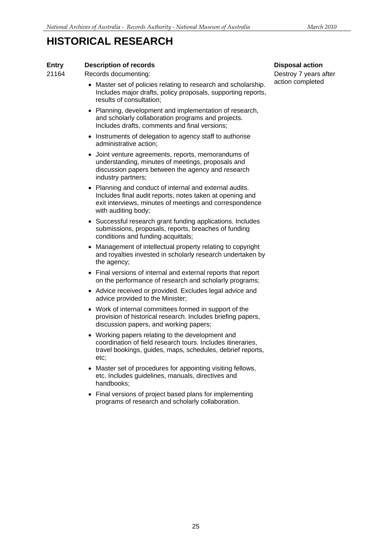## **HISTORICAL RESEARCH**

### **Entry Description of records Disposal action Disposal action**

21164 Records documenting:

- Master set of policies relating to research and scholarship. Includes major drafts, policy proposals, supporting reports, results of consultation;
- Planning, development and implementation of research, and scholarly collaboration programs and projects. Includes drafts, comments and final versions;
- Instruments of delegation to agency staff to authorise administrative action;
- Joint venture agreements, reports, memorandums of understanding, minutes of meetings, proposals and discussion papers between the agency and research industry partners;
- Planning and conduct of internal and external audits. Includes final audit reports, notes taken at opening and exit interviews, minutes of meetings and correspondence with auditing body;
- Successful research grant funding applications. Includes submissions, proposals, reports, breaches of funding conditions and funding acquittals;
- Management of intellectual property relating to copyright and royalties invested in scholarly research undertaken by the agency;
- Final versions of internal and external reports that report on the performance of research and scholarly programs;
- Advice received or provided. Excludes legal advice and advice provided to the Minister;
- Work of internal committees formed in support of the provision of historical research. Includes briefing papers, discussion papers, and working papers;
- Working papers relating to the development and coordination of field research tours. Includes itineraries, travel bookings, guides, maps, schedules, debrief reports, etc;
- Master set of procedures for appointing visiting fellows, etc. Includes guidelines, manuals, directives and handbooks;
- Final versions of project based plans for implementing programs of research and scholarly collaboration.

Destroy 7 years after action completed